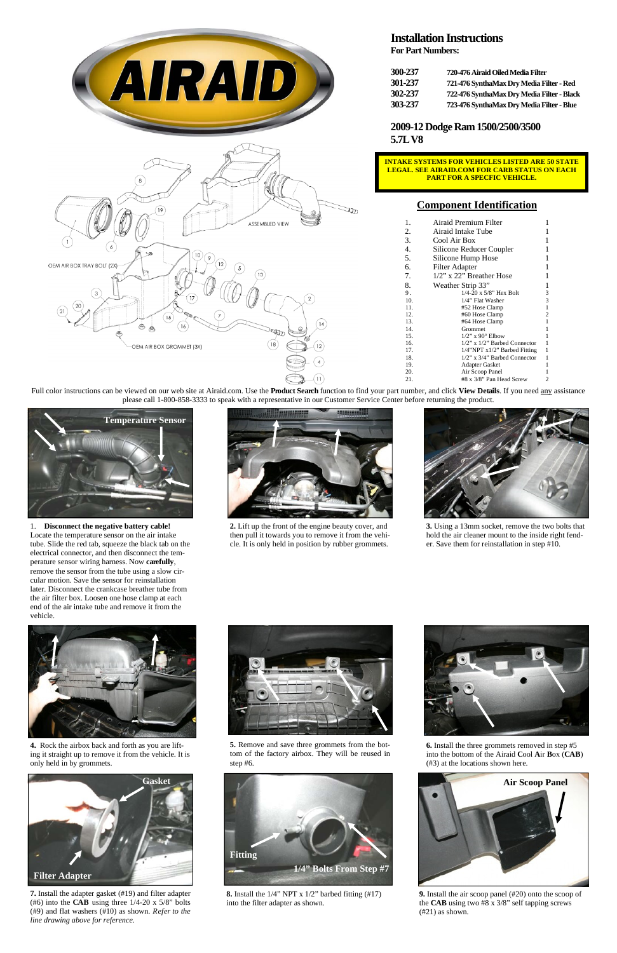

**2.** Lift up the front of the engine beauty cover, and then pull it towards you to remove it from the vehicle. It is only held in position by rubber grommets.



**3.** Using a 13mm socket, remove the two bolts that hold the air cleaner mount to the inside right fender. Save them for reinstallation in step #10.





**4.** Rock the airbox back and forth as you are lifting it straight up to remove it from the vehicle. It is only held in by grommets.

**5.** Remove and save three grommets from the bottom of the factory airbox. They will be reused in step #6.

**6.** Install the three grommets removed in step #5 into the bottom of the Airaid **C**ool **A**ir **B**ox (**CAB**) (#3) at the locations shown here.

**7.** Install the adapter gasket (#19) and filter adapter (#6) into the **CAB** using three 1/4-20 x 5/8" bolts (#9) and flat washers (#10) as shown. *Refer to the line drawing above for reference.* 

**8.** Install the 1/4" NPT x 1/2" barbed fitting (#17) into the filter adapter as shown.

1. **Disconnect the negative battery cable!** Locate the temperature sensor on the air intake tube. Slide the red tab, squeeze the black tab on the electrical connector, and then disconnect the temperature sensor wiring harness. Now **carefully**, remove the sensor from the tube using a slow circular motion. Save the sensor for reinstallation later. Disconnect the crankcase breather tube from the air filter box. Loosen one hose clamp at each end of the air intake tube and remove it from the vehicle.





## **Installation Instructions**

**For Part Numbers:** 

| 300-237 | 720-476 Airaid Oiled Media Filter          |
|---------|--------------------------------------------|
| 301-237 | 721-476 SynthaMax Dry Media Filter - Red   |
| 302-237 | 722-476 SynthaMax Dry Media Filter - Black |
| 303-237 | 723-476 SynthaMax Dry Media Filter - Blue  |

**2009-12 Dodge Ram 1500/2500/3500 5.7L V8** 





#### **Component Identification**

| 1.  | Airaid Premium Filter              | 1 |
|-----|------------------------------------|---|
| 2.  | Airaid Intake Tube                 | 1 |
| 3.  | Cool Air Box                       | 1 |
| 4.  | Silicone Reducer Coupler           | 1 |
| 5.  | Silicone Hump Hose                 | 1 |
| 6.  | <b>Filter Adapter</b>              | 1 |
| 7.  | 1/2" x 22" Breather Hose           | 1 |
| 8.  | Weather Strip 33"                  | 1 |
| 9.  | $1/4 - 20 \times 5/8$ " Hex Bolt   | 3 |
| 10. | 1/4" Flat Washer                   | 3 |
| 11. | #52 Hose Clamp                     | 1 |
| 12. | #60 Hose Clamp                     | 2 |
| 13. | #64 Hose Clamp                     | 1 |
| 14. | Grommet                            | 1 |
| 15. | $1/2$ " x 90 $\degree$ Elbow       | 1 |
| 16. | $1/2$ " x $1/2$ " Barbed Connector | 1 |
| 17. | 1/4"NPT x1/2" Barbed Fitting       | 1 |
| 18. | $1/2$ " x $3/4$ " Barbed Connector | 1 |
| 19. | Adapter Gasket                     | 1 |
| 20. | Air Scoop Panel                    | 1 |
| 21. | #8 x 3/8" Pan Head Screw           | 2 |
|     |                                    |   |





**9.** Install the air scoop panel (#20) onto the scoop of the **CAB** using two #8 x 3/8" self tapping screws (#21) as shown.

Full color instructions can be viewed on our web site at Airaid.com. Use the **Product Search** function to find your part number, and click **View Details**. If you need any assistance please call 1-800-858-3333 to speak with a representative in our Customer Service Center before returning the product.

**INTAKE SYSTEMS FOR VEHICLES LISTED ARE 50 STATE LEGAL. SEE AIRAID.COM FOR CARB STATUS ON EACH PART FOR A SPECFIC VEHICLE.**